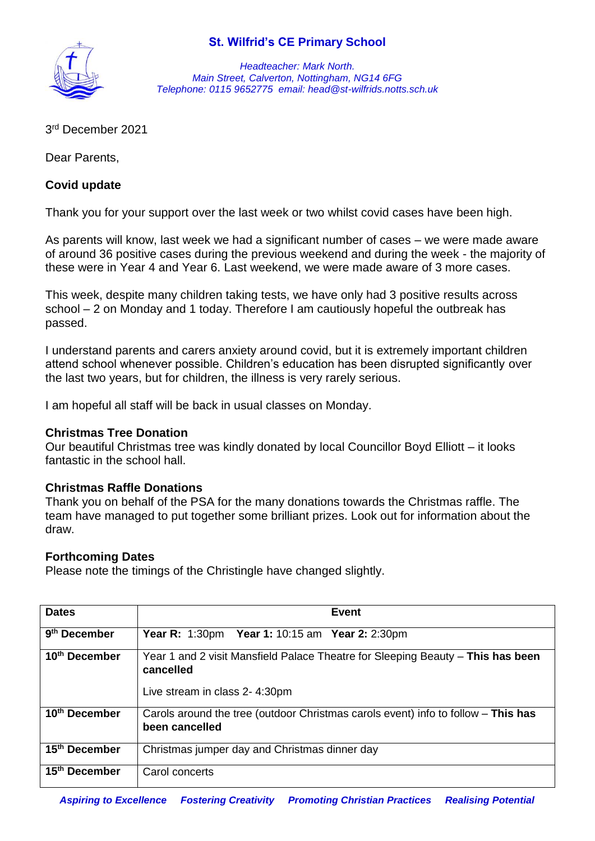

*Headteacher: Mark North. Main Street, Calverton, Nottingham, NG14 6FG Telephone: 0115 9652775 email: head@st-wilfrids.notts.sch.uk*

3 rd December 2021

Dear Parents,

### **Covid update**

Thank you for your support over the last week or two whilst covid cases have been high.

As parents will know, last week we had a significant number of cases – we were made aware of around 36 positive cases during the previous weekend and during the week - the majority of these were in Year 4 and Year 6. Last weekend, we were made aware of 3 more cases.

This week, despite many children taking tests, we have only had 3 positive results across school – 2 on Monday and 1 today. Therefore I am cautiously hopeful the outbreak has passed.

I understand parents and carers anxiety around covid, but it is extremely important children attend school whenever possible. Children's education has been disrupted significantly over the last two years, but for children, the illness is very rarely serious.

I am hopeful all staff will be back in usual classes on Monday.

#### **Christmas Tree Donation**

Our beautiful Christmas tree was kindly donated by local Councillor Boyd Elliott – it looks fantastic in the school hall.

#### **Christmas Raffle Donations**

Thank you on behalf of the PSA for the many donations towards the Christmas raffle. The team have managed to put together some brilliant prizes. Look out for information about the draw.

#### **Forthcoming Dates**

Please note the timings of the Christingle have changed slightly.

| <b>Dates</b>              | Event                                                                                                                         |
|---------------------------|-------------------------------------------------------------------------------------------------------------------------------|
| 9 <sup>th</sup> December  | <b>Year R:</b> 1:30pm <b>Year 1:</b> 10:15 am <b>Year 2:</b> 2:30pm                                                           |
| 10 <sup>th</sup> December | Year 1 and 2 visit Mansfield Palace Theatre for Sleeping Beauty - This has been<br>cancelled<br>Live stream in class 2-4:30pm |
| 10 <sup>th</sup> December | Carols around the tree (outdoor Christmas carols event) info to follow - This has<br>been cancelled                           |
| 15 <sup>th</sup> December | Christmas jumper day and Christmas dinner day                                                                                 |
| 15 <sup>th</sup> December | Carol concerts                                                                                                                |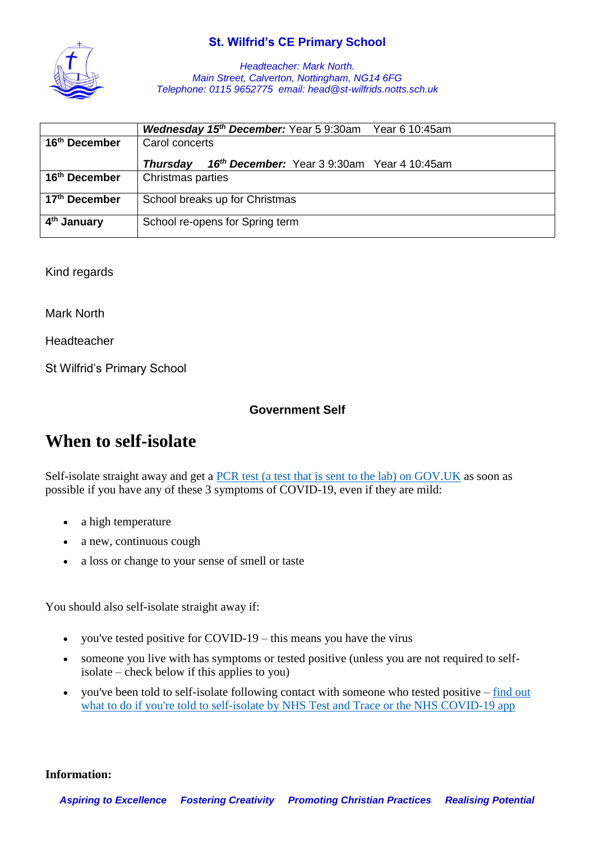

*Headteacher: Mark North. Main Street, Calverton, Nottingham, NG14 6FG Telephone: 0115 9652775 email: head@st-wilfrids.notts.sch.uk*

|                           | <b>Wednesday 15th December:</b> Year 5 9:30am<br>Year 6 10:45am |
|---------------------------|-----------------------------------------------------------------|
| 16 <sup>th</sup> December | Carol concerts                                                  |
|                           | 16th December: Year 3 9:30am Year 4 10:45am<br><b>Thursday</b>  |
| 16 <sup>th</sup> December | Christmas parties                                               |
| 17 <sup>th</sup> December | School breaks up for Christmas                                  |
| 4 <sup>th</sup> January   | School re-opens for Spring term                                 |

Kind regards

Mark North

Headteacher

St Wilfrid's Primary School

#### **Government Self**

# **When to self-isolate**

Self-isolate straight away and get a [PCR test \(a test that is sent to the lab\) on GOV.UK](https://www.gov.uk/get-coronavirus-test) as soon as possible if you have any of these 3 symptoms of COVID-19, even if they are mild:

- a high temperature
- a new, continuous cough
- a loss or change to your sense of smell or taste

You should also self-isolate straight away if:

- you've tested positive for COVID-19 this means you have the virus
- someone you live with has symptoms or tested positive (unless you are not required to selfisolate – check below if this applies to you)
- you've been told to self-isolate following contact with someone who tested positive [find out](https://www.nhs.uk/conditions/coronavirus-covid-19/self-isolation-and-treatment/if-youre-told-to-self-isolate-by-nhs-test-and-trace-or-the-covid-19-app/)  [what to do if you're told to self-isolate by NHS Test and Trace or the NHS COVID-19 app](https://www.nhs.uk/conditions/coronavirus-covid-19/self-isolation-and-treatment/if-youre-told-to-self-isolate-by-nhs-test-and-trace-or-the-covid-19-app/)

**Information:**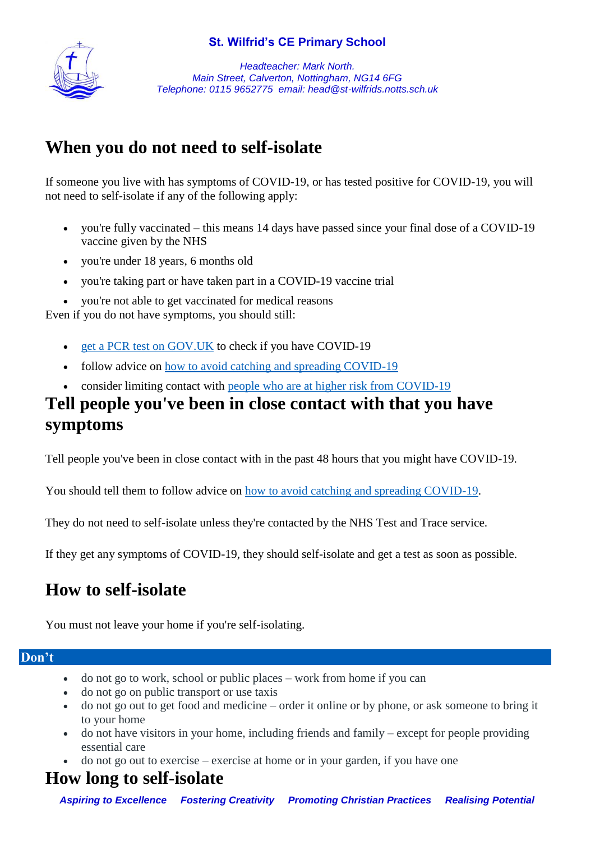

*Headteacher: Mark North. Main Street, Calverton, Nottingham, NG14 6FG Telephone: 0115 9652775 email: head@st-wilfrids.notts.sch.uk*

# **When you do not need to self-isolate**

If someone you live with has symptoms of COVID-19, or has tested positive for COVID-19, you will not need to self-isolate if any of the following apply:

- you're fully vaccinated this means 14 days have passed since your final dose of a COVID-19 vaccine given by the NHS
- you're under 18 years, 6 months old
- you're taking part or have taken part in a COVID-19 vaccine trial
- you're not able to get vaccinated for medical reasons

Even if you do not have symptoms, you should still:

- [get a PCR test on GOV.UK](https://www.gov.uk/get-coronavirus-test) to check if you have COVID-19
- follow advice on [how to avoid catching and spreading COVID-19](https://www.nhs.uk/conditions/coronavirus-covid-19/how-to-avoid-catching-and-spreading-coronavirus-covid-19/)
- consider limiting contact with [people who are at higher risk from COVID-19](https://www.nhs.uk/conditions/coronavirus-covid-19/people-at-higher-risk/)

# **Tell people you've been in close contact with that you have symptoms**

Tell people you've been in close contact with in the past 48 hours that you might have COVID-19.

You should tell them to follow advice on [how to avoid catching and spreading COVID-19.](https://www.nhs.uk/conditions/coronavirus-covid-19/how-to-avoid-catching-and-spreading-coronavirus-covid-19/)

They do not need to self-isolate unless they're contacted by the NHS Test and Trace service.

If they get any symptoms of COVID-19, they should self-isolate and get a test as soon as possible.

# **How to self-isolate**

You must not leave your home if you're self-isolating.

## **Don't**

- do not go to work, school or public places work from home if you can
- do not go on public transport or use taxis
- do not go out to get food and medicine order it online or by phone, or ask someone to bring it to your home
- do not have visitors in your home, including friends and family except for people providing essential care
- $\bullet$  do not go out to exercise exercise at home or in your garden, if you have one

# **How long to self-isolate**